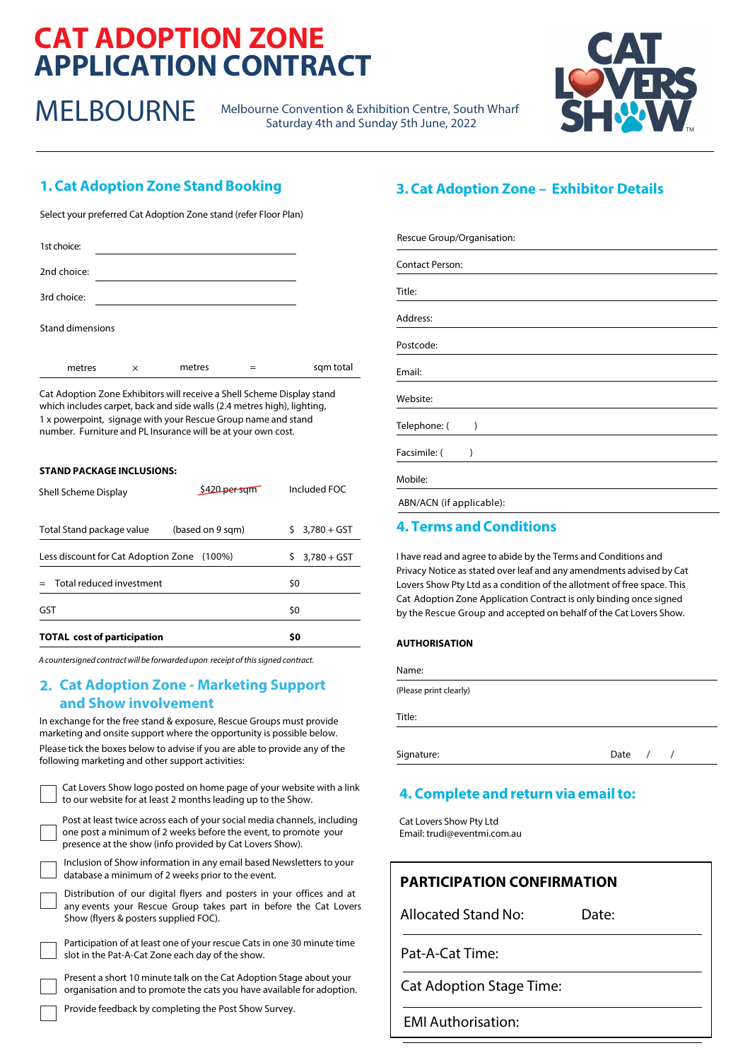# **CAT ADOPTION ZONE APPLICATION CONTRACT**

MELBOURNE Melbourne Convention & Exhibition Centre, South Wharf Saturday 4th and Sunday 5th June, 2022



# **1. Cat Adoption Zone Stand Booking**

Select your preferred Cat Adoption Zone stand (refer Floor Plan)

| 1st choice:             |   |        |           |
|-------------------------|---|--------|-----------|
| 2nd choice:             |   |        |           |
| 3rd choice:             |   |        |           |
| <b>Stand dimensions</b> |   |        |           |
| metres                  | X | metres | sqm total |

Cat Adoption Zone Exhibitors will receive a Shell Scheme Display stand which includes carpet, back and side walls (2.4 metres high), lighting, 1 x powerpoint, signage with your Rescue Group name and stand number. Furniture and PL Insurance will be at your own cost.

#### **STAND PACKAGE INCLUSIONS:**

| <b>TOTAL cost of participation</b>         |                  | \$0 |               |
|--------------------------------------------|------------------|-----|---------------|
| GST                                        |                  | \$0 |               |
| Total reduced investment                   |                  | \$0 |               |
| Less discount for Cat Adoption Zone (100%) |                  | Ś   | $3,780 + GST$ |
| Total Stand package value                  | (based on 9 sqm) | Š.  | $3,780 + GST$ |
| Shell Scheme Display                       | \$420 persom     |     | Included FOC  |

A countersigned contract will be forwarded upon receipt ofthis signed contract.

## **2. Cat Adoption Zone - Marketing Support and Show involvement**

In exchange for the free stand & exposure, Rescue Groups must provide marketing and onsite support where the opportunity is possible below. Please tick the boxes below to advise if you are able to provide any of the following marketing and other support activities:



presence at the show (info provided by Cat Lovers Show). Inclusion of Show information in any email based Newsletters to your

database a minimum of 2 weeks prior to the event.

| Distribution of our digital flyers and posters in your offices and at |  |  |  |  |
|-----------------------------------------------------------------------|--|--|--|--|
| any events your Rescue Group takes part in before the Cat Lovers      |  |  |  |  |
| Show (flyers & posters supplied FOC).                                 |  |  |  |  |



Participation of at least one of your rescue Cats in one 30 minute time slot in the Pat-A-Cat Zone each day of the show.

Present a short 10 minute talk on the Cat Adoption Stage about your organisation and to promote the cats you have available for adoption.

Provide feedback by completing the Post Show Survey.

# **3.Cat Adoption Zone – Exhibitor Details**

| Rescue Group/Organisation: |  |  |
|----------------------------|--|--|
| <b>Contact Person:</b>     |  |  |
| Title:                     |  |  |
| Address:                   |  |  |
| Postcode:                  |  |  |
| Email:                     |  |  |
| Website:                   |  |  |
| Telephone: (<br>)          |  |  |
| Facsimile: (<br>١          |  |  |
| Mobile:                    |  |  |
| ABN/ACN (if applicable):   |  |  |

## **4. Terms and Conditions**

I have read and agree to abide by the Terms and Conditions and Privacy Notice as stated over leaf and any amendments advised by Cat Lovers Show Pty Ltd as a condition of the allotment of free space. This Cat Adoption Zone Application Contract is only binding once signed by the Rescue Group and accepted on behalf of the Cat Lovers Show.

#### **AUTHORISATION**

| vame |  |
|------|--|
|      |  |

(Please print clearly)

Title:

Signature: Date /

# **4. Complete and return via email to:**

Cat Lovers Show Pty Ltd Email: trudi@eventmi.com.au

| <b>PARTICIPATION CONFIRMATION</b> |
|-----------------------------------|
|                                   |

Allocated Stand No: Date:

Pat-A-Cat Time:

Cat Adoption Stage Time:

EMI Authorisation: